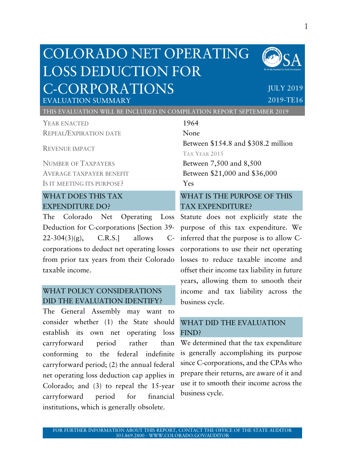# COLORADO NET OPERATING LOSS DEDUCTION FOR C-CORPORATIONS



## JULY 2019 2019-TE16

EVALUATION SUMMARY THIS EVALUATION WILL BE INCLUDED IN COMPILATION REPORT SEPTEMBER 2019

YEAR ENACTED 1964 REPEAL/EXPIRATION DATE None

REVENUE IMPACT

NUMBER OF TAXPAYERS Between 7,500 and 8,500 IS IT MEETING ITS PURPOSE? Yes

## WHAT DOES THIS TAX EXPENDITURE DO?

The Colorado Net Operating Loss Deduction for C-corporations [Section 39- 22-304(3)(g), C.R.S.] allows Ccorporations to deduct net operating losses from prior tax years from their Colorado taxable income.

## WHAT POLICY CONSIDERATIONS DID THE EVALUATION IDENTIFY?

The General Assembly may want to consider whether (1) the State should establish its own net operating loss carryforward period rather than conforming to the federal indefinite carryforward period; (2) the annual federal net operating loss deduction cap applies in Colorado; and (3) to repeal the 15-year carryforward period for financial institutions, which is generally obsolete.

Between \$154.8 and \$308.2 million TAX YEAR 2015 AVERAGE TAXPAYER BENEFIT Between \$21,000 and \$36,000

## WHAT IS THE PURPOSE OF THIS TAX EXPENDITURE?

Statute does not explicitly state the purpose of this tax expenditure. We inferred that the purpose is to allow Ccorporations to use their net operating losses to reduce taxable income and offset their income tax liability in future years, allowing them to smooth their income and tax liability across the business cycle.

## WHAT DID THE EVALUATION FIND?

We determined that the tax expenditure is generally accomplishing its purpose since C-corporations, and the CPAs who prepare their returns, are aware of it and use it to smooth their income across the business cycle.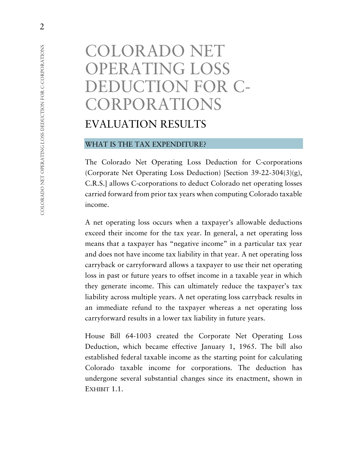# COLORADO NET OPERATING LOSS DEDUCTION FOR C-CORPORATIONS EVALUATION RESULTS

### WHAT IS THE TAX EXPENDITURE?

The Colorado Net Operating Loss Deduction for C-corporations (Corporate Net Operating Loss Deduction) [Section 39-22-304(3)(g), C.R.S.] allows C-corporations to deduct Colorado net operating losses carried forward from prior tax years when computing Colorado taxable income.

A net operating loss occurs when a taxpayer's allowable deductions exceed their income for the tax year. In general, a net operating loss means that a taxpayer has "negative income" in a particular tax year and does not have income tax liability in that year. A net operating loss carryback or carryforward allows a taxpayer to use their net operating loss in past or future years to offset income in a taxable year in which they generate income. This can ultimately reduce the taxpayer's tax liability across multiple years. A net operating loss carryback results in an immediate refund to the taxpayer whereas a net operating loss carryforward results in a lower tax liability in future years.

House Bill 64-1003 created the Corporate Net Operating Loss Deduction, which became effective January 1, 1965. The bill also established federal taxable income as the starting point for calculating Colorado taxable income for corporations. The deduction has undergone several substantial changes since its enactment, shown in EXHIBIT 1.1.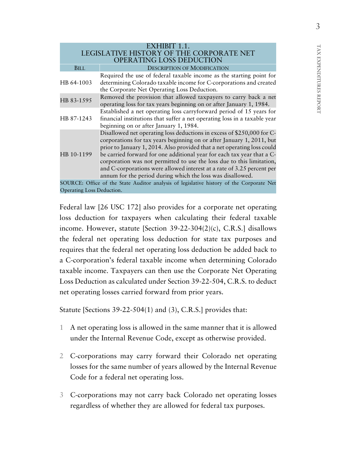| EXHIBIT 1.1.                                                                             |                                                                                                                                                                                                                                                                                                                                                                                                                                                                                                                       |  |  |  |
|------------------------------------------------------------------------------------------|-----------------------------------------------------------------------------------------------------------------------------------------------------------------------------------------------------------------------------------------------------------------------------------------------------------------------------------------------------------------------------------------------------------------------------------------------------------------------------------------------------------------------|--|--|--|
| LEGISLATIVE HISTORY OF THE CORPORATE NET<br>OPERATING LOSS DEDUCTION                     |                                                                                                                                                                                                                                                                                                                                                                                                                                                                                                                       |  |  |  |
| BILL                                                                                     | <b>DESCRIPTION OF MODIFICATION</b>                                                                                                                                                                                                                                                                                                                                                                                                                                                                                    |  |  |  |
| HB 64-1003                                                                               | Required the use of federal taxable income as the starting point for<br>determining Colorado taxable income for C-corporations and created<br>the Corporate Net Operating Loss Deduction.                                                                                                                                                                                                                                                                                                                             |  |  |  |
| HB 83-1595                                                                               | Removed the provision that allowed taxpayers to carry back a net<br>operating loss for tax years beginning on or after January 1, 1984.                                                                                                                                                                                                                                                                                                                                                                               |  |  |  |
| HB 87-1243                                                                               | Established a net operating loss carryforward period of 15 years for<br>financial institutions that suffer a net operating loss in a taxable year<br>beginning on or after January 1, 1984.                                                                                                                                                                                                                                                                                                                           |  |  |  |
| HB 10-1199                                                                               | Disallowed net operating loss deductions in excess of \$250,000 for C-<br>corporations for tax years beginning on or after January 1, 2011, but<br>prior to January 1, 2014. Also provided that a net operating loss could<br>be carried forward for one additional year for each tax year that a C-<br>corporation was not permitted to use the loss due to this limitation,<br>and C-corporations were allowed interest at a rate of 3.25 percent per<br>annum for the period during which the loss was disallowed. |  |  |  |
| SOURCE: Office of the State Auditor analysis of legislative history of the Corporate Net |                                                                                                                                                                                                                                                                                                                                                                                                                                                                                                                       |  |  |  |
| Operating Loss Deduction.                                                                |                                                                                                                                                                                                                                                                                                                                                                                                                                                                                                                       |  |  |  |

Federal law [26 USC 172] also provides for a corporate net operating loss deduction for taxpayers when calculating their federal taxable income. However, statute [Section 39-22-304(2)(c), C.R.S.] disallows the federal net operating loss deduction for state tax purposes and requires that the federal net operating loss deduction be added back to a C-corporation's federal taxable income when determining Colorado taxable income. Taxpayers can then use the Corporate Net Operating Loss Deduction as calculated under Section 39-22-504, C.R.S. to deduct net operating losses carried forward from prior years.

Statute [Sections 39-22-504(1) and (3), C.R.S.] provides that:

- 1 A net operating loss is allowed in the same manner that it is allowed under the Internal Revenue Code, except as otherwise provided.
- 2 C-corporations may carry forward their Colorado net operating losses for the same number of years allowed by the Internal Revenue Code for a federal net operating loss.
- 3 C-corporations may not carry back Colorado net operating losses regardless of whether they are allowed for federal tax purposes.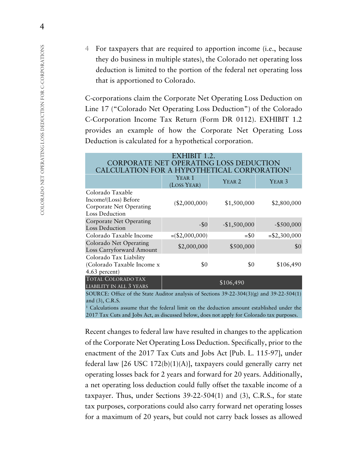4 For taxpayers that are required to apportion income (i.e., because they do business in multiple states), the Colorado net operating loss deduction is limited to the portion of the federal net operating loss that is apportioned to Colorado.

C-corporations claim the Corporate Net Operating Loss Deduction on Line 17 ("Colorado Net Operating Loss Deduction") of the Colorado C-Corporation Income Tax Return (Form DR 0112). EXHIBIT 1.2 provides an example of how the Corporate Net Operating Loss Deduction is calculated for a hypothetical corporation.

| EXHIBIT 1.2.                                                                                        |                                  |                   |                   |  |  |  |  |
|-----------------------------------------------------------------------------------------------------|----------------------------------|-------------------|-------------------|--|--|--|--|
| CORPORATE NET OPERATING LOSS DEDUCTION                                                              |                                  |                   |                   |  |  |  |  |
| CALCULATION FOR A HYPOTHETICAL CORPORATION <sup>1</sup>                                             |                                  |                   |                   |  |  |  |  |
|                                                                                                     | YEAR <sub>1</sub><br>(LOSS YEAR) | YEAR <sub>2</sub> | YEAR <sub>3</sub> |  |  |  |  |
| Colorado Taxable<br>Income/(Loss) Before<br><b>Corporate Net Operating</b><br><b>Loss Deduction</b> | (\$2,000,000)                    | \$1,500,000       | \$2,800,000       |  |  |  |  |
| <b>Corporate Net Operating</b><br><b>Loss Deduction</b>                                             | $-50$                            | $-$1,500,000$     | $-$ \$500,000     |  |  |  |  |
| Colorado Taxable Income                                                                             | $=(\$2,000,000)$                 | $= $0$            | $= $2,300,000$    |  |  |  |  |
| Colorado Net Operating<br>Loss Carryforward Amount                                                  | \$2,000,000                      | \$500,000         | \$0               |  |  |  |  |
| Colorado Tax Liability<br>(Colorado Taxable Income x<br>4.63 percent)                               | \$0                              | \$0               | \$106,490         |  |  |  |  |
| <b>TOTAL COLORADO TAX</b><br>LIABILITY IN ALL 3 YEARS                                               |                                  | \$106,490         |                   |  |  |  |  |
|                                                                                                     |                                  |                   |                   |  |  |  |  |

SOURCE: Office of the State Auditor analysis of Sections  $39-22-304(3)(g)$  and  $39-22-504(1)$ and (3), C.R.S.

<sup>1</sup> Calculations assume that the federal limit on the deduction amount established under the 2017 Tax Cuts and Jobs Act, as discussed below, does not apply for Colorado tax purposes.

Recent changes to federal law have resulted in changes to the application of the Corporate Net Operating Loss Deduction. Specifically, prior to the enactment of the 2017 Tax Cuts and Jobs Act [Pub. L. 115-97], under federal law  $[26 \text{ USC } 172(b)(1)(A)]$ , taxpayers could generally carry net operating losses back for 2 years and forward for 20 years. Additionally, a net operating loss deduction could fully offset the taxable income of a taxpayer. Thus, under Sections 39-22-504(1) and (3), C.R.S., for state tax purposes, corporations could also carry forward net operating losses for a maximum of 20 years, but could not carry back losses as allowed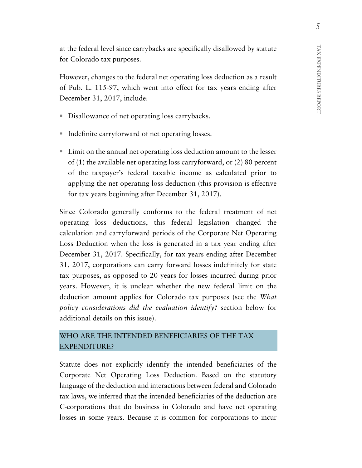at the federal level since carrybacks are specifically disallowed by statute for Colorado tax purposes.

However, changes to the federal net operating loss deduction as a result of Pub. L. 115-97, which went into effect for tax years ending after December 31, 2017, include:

- Disallowance of net operating loss carrybacks.
- Indefinite carryforward of net operating losses.
- Limit on the annual net operating loss deduction amount to the lesser of (1) the available net operating loss carryforward, or (2) 80 percent of the taxpayer's federal taxable income as calculated prior to applying the net operating loss deduction (this provision is effective for tax years beginning after December 31, 2017).

Since Colorado generally conforms to the federal treatment of net operating loss deductions, this federal legislation changed the calculation and carryforward periods of the Corporate Net Operating Loss Deduction when the loss is generated in a tax year ending after December 31, 2017. Specifically, for tax years ending after December 31, 2017, corporations can carry forward losses indefinitely for state tax purposes, as opposed to 20 years for losses incurred during prior years. However, it is unclear whether the new federal limit on the deduction amount applies for Colorado tax purposes (see the *What policy considerations did the evaluation identify?* section below for additional details on this issue).

## WHO ARE THE INTENDED BENEFICIARIES OF THE TAX EXPENDITURE?

Statute does not explicitly identify the intended beneficiaries of the Corporate Net Operating Loss Deduction. Based on the statutory language of the deduction and interactions between federal and Colorado tax laws, we inferred that the intended beneficiaries of the deduction are C-corporations that do business in Colorado and have net operating losses in some years. Because it is common for corporations to incur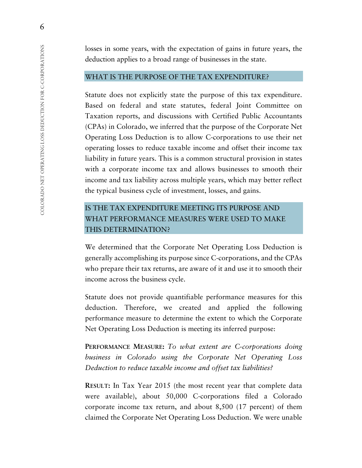losses in some years, with the expectation of gains in future years, the deduction applies to a broad range of businesses in the state.

### WHAT IS THE PURPOSE OF THE TAX EXPENDITURE?

Statute does not explicitly state the purpose of this tax expenditure. Based on federal and state statutes, federal Joint Committee on Taxation reports, and discussions with Certified Public Accountants (CPAs) in Colorado, we inferred that the purpose of the Corporate Net Operating Loss Deduction is to allow C-corporations to use their net operating losses to reduce taxable income and offset their income tax liability in future years. This is a common structural provision in states with a corporate income tax and allows businesses to smooth their income and tax liability across multiple years, which may better reflect the typical business cycle of investment, losses, and gains.

## IS THE TAX EXPENDITURE MEETING ITS PURPOSE AND WHAT PERFORMANCE MEASURES WERE USED TO MAKE THIS DETERMINATION?

We determined that the Corporate Net Operating Loss Deduction is generally accomplishing its purpose since C-corporations, and the CPAs who prepare their tax returns, are aware of it and use it to smooth their income across the business cycle.

Statute does not provide quantifiable performance measures for this deduction. Therefore, we created and applied the following performance measure to determine the extent to which the Corporate Net Operating Loss Deduction is meeting its inferred purpose:

**PERFORMANCE MEASURE:** *To what extent are C-corporations doing business in Colorado using the Corporate Net Operating Loss Deduction to reduce taxable income and offset tax liabilities?*

**RESULT:** In Tax Year 2015 (the most recent year that complete data were available), about 50,000 C-corporations filed a Colorado corporate income tax return, and about 8,500 (17 percent) of them claimed the Corporate Net Operating Loss Deduction. We were unable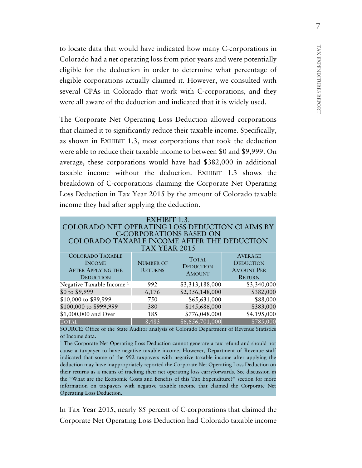to locate data that would have indicated how many C-corporations in Colorado had a net operating loss from prior years and were potentially eligible for the deduction in order to determine what percentage of eligible corporations actually claimed it. However, we consulted with several CPAs in Colorado that work with C-corporations, and they were all aware of the deduction and indicated that it is widely used.

The Corporate Net Operating Loss Deduction allowed corporations that claimed it to significantly reduce their taxable income. Specifically, as shown in EXHIBIT 1.3, most corporations that took the deduction were able to reduce their taxable income to between \$0 and \$9,999. On average, these corporations would have had \$382,000 in additional taxable income without the deduction. EXHIBIT 1.3 shows the breakdown of C-corporations claiming the Corporate Net Operating Loss Deduction in Tax Year 2015 by the amount of Colorado taxable income they had after applying the deduction.

| EXHIBIT 1.3.<br>COLORADO NET OPERATING LOSS DEDUCTION CLAIMS BY<br><b>C-CORPORATIONS BASED ON</b><br>COLORADO TAXABLE INCOME AFTER THE DEDUCTION<br>TAX YEAR 2015 |                                    |                                                   |                                                                          |  |  |  |
|-------------------------------------------------------------------------------------------------------------------------------------------------------------------|------------------------------------|---------------------------------------------------|--------------------------------------------------------------------------|--|--|--|
| <b>COLORADO TAXABLE</b><br><b>INCOME</b><br><b>AFTER APPLYING THE</b><br><b>DEDUCTION</b>                                                                         | <b>NUMBER OF</b><br><b>RETURNS</b> | <b>TOTAL</b><br><b>DEDUCTION</b><br><b>AMOUNT</b> | <b>AVERAGE</b><br><b>DEDUCTION</b><br><b>AMOUNT PER</b><br><b>RETURN</b> |  |  |  |
| Negative Taxable Income <sup>1</sup>                                                                                                                              | 992                                | \$3,313,188,000                                   | \$3,340,000                                                              |  |  |  |
| \$0 to \$9,999                                                                                                                                                    | 6,176                              | \$2,356,148,000                                   | \$382,000                                                                |  |  |  |
| \$10,000 to \$99,999                                                                                                                                              | 750                                | \$65,631,000                                      | \$88,000                                                                 |  |  |  |
| \$100,000 to \$999,999                                                                                                                                            | 380                                | \$145,686,000                                     | \$383,000                                                                |  |  |  |
| \$1,000,000 and Over                                                                                                                                              | 185                                | \$776,048,000                                     | \$4,195,000                                                              |  |  |  |
| <b>TOTAL</b>                                                                                                                                                      | 8,483                              | \$6,656,701,000                                   | \$785,000                                                                |  |  |  |

SOURCE: Office of the State Auditor analysis of Colorado Department of Revenue Statistics of Income data.

<sup>1</sup> The Corporate Net Operating Loss Deduction cannot generate a tax refund and should not cause a taxpayer to have negative taxable income. However, Department of Revenue staff indicated that some of the 992 taxpayers with negative taxable income after applying the deduction may have inappropriately reported the Corporate Net Operating Loss Deduction on their returns as a means of tracking their net operating loss carryforwards. See discussion in the "What are the Economic Costs and Benefits of this Tax Expenditure?" section for more information on taxpayers with negative taxable income that claimed the Corporate Net Operating Loss Deduction.

In Tax Year 2015, nearly 85 percent of C-corporations that claimed the Corporate Net Operating Loss Deduction had Colorado taxable income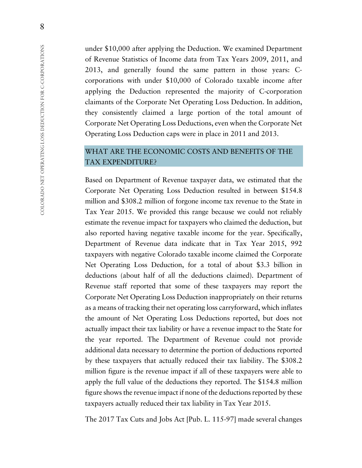under \$10,000 after applying the Deduction. We examined Department of Revenue Statistics of Income data from Tax Years 2009, 2011, and 2013, and generally found the same pattern in those years: Ccorporations with under \$10,000 of Colorado taxable income after applying the Deduction represented the majority of C-corporation claimants of the Corporate Net Operating Loss Deduction. In addition, they consistently claimed a large portion of the total amount of Corporate Net Operating Loss Deductions, even when the Corporate Net Operating Loss Deduction caps were in place in 2011 and 2013.

## WHAT ARE THE ECONOMIC COSTS AND BENEFITS OF THE TAX EXPENDITURE?

Based on Department of Revenue taxpayer data, we estimated that the Corporate Net Operating Loss Deduction resulted in between \$154.8 million and \$308.2 million of forgone income tax revenue to the State in Tax Year 2015. We provided this range because we could not reliably estimate the revenue impact for taxpayers who claimed the deduction, but also reported having negative taxable income for the year. Specifically, Department of Revenue data indicate that in Tax Year 2015, 992 taxpayers with negative Colorado taxable income claimed the Corporate Net Operating Loss Deduction, for a total of about \$3.3 billion in deductions (about half of all the deductions claimed). Department of Revenue staff reported that some of these taxpayers may report the Corporate Net Operating Loss Deduction inappropriately on their returns as a means of tracking their net operating loss carryforward, which inflates the amount of Net Operating Loss Deductions reported, but does not actually impact their tax liability or have a revenue impact to the State for the year reported. The Department of Revenue could not provide additional data necessary to determine the portion of deductions reported by these taxpayers that actually reduced their tax liability. The \$308.2 million figure is the revenue impact if all of these taxpayers were able to apply the full value of the deductions they reported. The \$154.8 million figure shows the revenue impact if none of the deductions reported by these taxpayers actually reduced their tax liability in Tax Year 2015.

The 2017 Tax Cuts and Jobs Act [Pub. L. 115-97] made several changes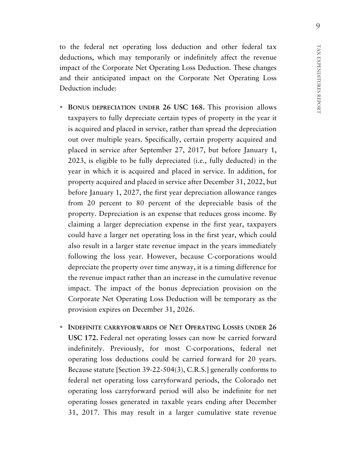to the federal net operating loss deduction and other federal tax deductions, which may temporarily or indefinitely affect the revenue impact of the Corporate Net Operating Loss Deduction. These changes and their anticipated impact on the Corporate Net Operating Loss Deduction include:

- **BONUS DEPRECIATION UNDER 26 USC 168.** This provision allows taxpayers to fully depreciate certain types of property in the year it is acquired and placed in service, rather than spread the depreciation out over multiple years. Specifically, certain property acquired and placed in service after September 27, 2017, but before January 1, 2023, is eligible to be fully depreciated (i.e., fully deducted) in the year in which it is acquired and placed in service. In addition, for property acquired and placed in service after December 31, 2022, but before January 1, 2027, the first year depreciation allowance ranges from 20 percent to 80 percent of the depreciable basis of the property. Depreciation is an expense that reduces gross income. By claiming a larger depreciation expense in the first year, taxpayers could have a larger net operating loss in the first year, which could also result in a larger state revenue impact in the years immediately following the loss year. However, because C-corporations would depreciate the property over time anyway, it is a timing difference for the revenue impact rather than an increase in the cumulative revenue impact. The impact of the bonus depreciation provision on the Corporate Net Operating Loss Deduction will be temporary as the provision expires on December 31, 2026.
- **INDEFINITE CARRYFORWARDS OF NET OPERATING LOSSES UNDER 26 USC 172.** Federal net operating losses can now be carried forward indefinitely. Previously, for most C-corporations, federal net operating loss deductions could be carried forward for 20 years. Because statute [Section 39-22-504(3), C.R.S.] generally conforms to federal net operating loss carryforward periods, the Colorado net operating loss carryforward period will also be indefinite for net operating losses generated in taxable years ending after December 31, 2017. This may result in a larger cumulative state revenue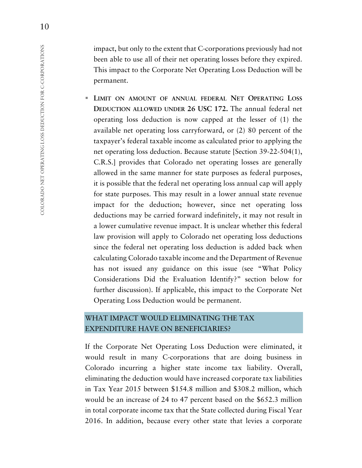impact, but only to the extent that C-corporations previously had not been able to use all of their net operating losses before they expired. This impact to the Corporate Net Operating Loss Deduction will be permanent.

 **LIMIT ON AMOUNT OF ANNUAL FEDERAL NET OPERATING LOSS DEDUCTION ALLOWED UNDER 26 USC 172.** The annual federal net operating loss deduction is now capped at the lesser of (1) the available net operating loss carryforward, or (2) 80 percent of the taxpayer's federal taxable income as calculated prior to applying the net operating loss deduction. Because statute [Section 39-22-504(1), C.R.S.] provides that Colorado net operating losses are generally allowed in the same manner for state purposes as federal purposes, it is possible that the federal net operating loss annual cap will apply for state purposes. This may result in a lower annual state revenue impact for the deduction; however, since net operating loss deductions may be carried forward indefinitely, it may not result in a lower cumulative revenue impact. It is unclear whether this federal law provision will apply to Colorado net operating loss deductions since the federal net operating loss deduction is added back when calculating Colorado taxable income and the Department of Revenue has not issued any guidance on this issue (see "What Policy Considerations Did the Evaluation Identify?" section below for further discussion). If applicable, this impact to the Corporate Net Operating Loss Deduction would be permanent.

## WHAT IMPACT WOULD ELIMINATING THE TAX EXPENDITURE HAVE ON BENEFICIARIES?

If the Corporate Net Operating Loss Deduction were eliminated, it would result in many C-corporations that are doing business in Colorado incurring a higher state income tax liability. Overall, eliminating the deduction would have increased corporate tax liabilities in Tax Year 2015 between \$154.8 million and \$308.2 million, which would be an increase of 24 to 47 percent based on the \$652.3 million in total corporate income tax that the State collected during Fiscal Year 2016. In addition, because every other state that levies a corporate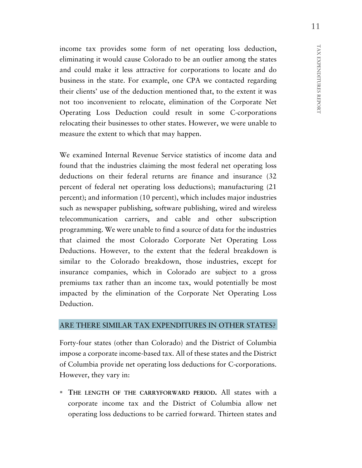income tax provides some form of net operating loss deduction, eliminating it would cause Colorado to be an outlier among the states and could make it less attractive for corporations to locate and do business in the state. For example, one CPA we contacted regarding their clients' use of the deduction mentioned that, to the extent it was not too inconvenient to relocate, elimination of the Corporate Net Operating Loss Deduction could result in some C-corporations relocating their businesses to other states. However, we were unable to measure the extent to which that may happen.

We examined Internal Revenue Service statistics of income data and found that the industries claiming the most federal net operating loss deductions on their federal returns are finance and insurance (32 percent of federal net operating loss deductions); manufacturing (21 percent); and information (10 percent), which includes major industries such as newspaper publishing, software publishing, wired and wireless telecommunication carriers, and cable and other subscription programming. We were unable to find a source of data for the industries that claimed the most Colorado Corporate Net Operating Loss Deductions. However, to the extent that the federal breakdown is similar to the Colorado breakdown, those industries, except for insurance companies, which in Colorado are subject to a gross premiums tax rather than an income tax, would potentially be most impacted by the elimination of the Corporate Net Operating Loss Deduction.

### ARE THERE SIMILAR TAX EXPENDITURES IN OTHER STATES?

Forty-four states (other than Colorado) and the District of Columbia impose a corporate income-based tax. All of these states and the District of Columbia provide net operating loss deductions for C-corporations. However, they vary in:

 **THE LENGTH OF THE CARRYFORWARD PERIOD.** All states with a corporate income tax and the District of Columbia allow net operating loss deductions to be carried forward. Thirteen states and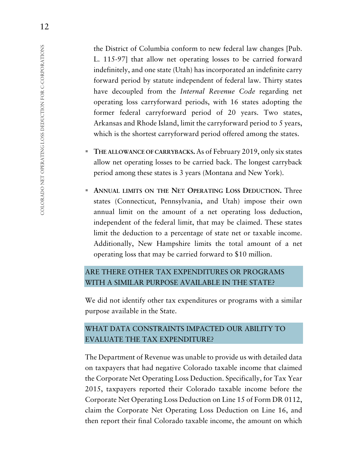the District of Columbia conform to new federal law changes [Pub. L. 115-97] that allow net operating losses to be carried forward indefinitely, and one state (Utah) has incorporated an indefinite carry forward period by statute independent of federal law. Thirty states have decoupled from the *Internal Revenue Code* regarding net operating loss carryforward periods, with 16 states adopting the former federal carryforward period of 20 years. Two states, Arkansas and Rhode Island, limit the carryforward period to 5 years, which is the shortest carryforward period offered among the states.

- **THE ALLOWANCE OF CARRYBACKS.** As of February 2019, only six states allow net operating losses to be carried back. The longest carryback period among these states is 3 years (Montana and New York).
- **ANNUAL LIMITS ON THE NET OPERATING LOSS DEDUCTION.** Three states (Connecticut, Pennsylvania, and Utah) impose their own annual limit on the amount of a net operating loss deduction, independent of the federal limit, that may be claimed. These states limit the deduction to a percentage of state net or taxable income. Additionally, New Hampshire limits the total amount of a net operating loss that may be carried forward to \$10 million.

## ARE THERE OTHER TAX EXPENDITURES OR PROGRAMS WITH A SIMILAR PURPOSE AVAILABLE IN THE STATE?

We did not identify other tax expenditures or programs with a similar purpose available in the State.

## WHAT DATA CONSTRAINTS IMPACTED OUR ABILITY TO EVALUATE THE TAX EXPENDITURE?

The Department of Revenue was unable to provide us with detailed data on taxpayers that had negative Colorado taxable income that claimed the Corporate Net Operating Loss Deduction. Specifically, for Tax Year 2015, taxpayers reported their Colorado taxable income before the Corporate Net Operating Loss Deduction on Line 15 of Form DR 0112, claim the Corporate Net Operating Loss Deduction on Line 16, and then report their final Colorado taxable income, the amount on which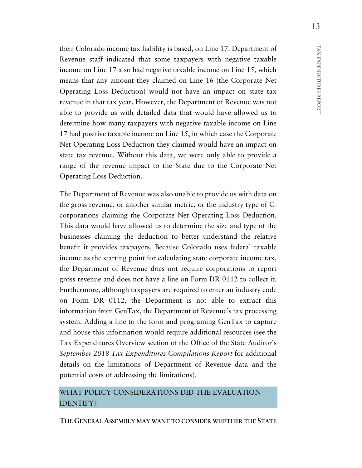their Colorado income tax liability is based, on Line 17. Department of Revenue staff indicated that some taxpayers with negative taxable income on Line 17 also had negative taxable income on Line 15, which means that any amount they claimed on Line 16 (the Corporate Net Operating Loss Deduction) would not have an impact on state tax revenue in that tax year. However, the Department of Revenue was not able to provide us with detailed data that would have allowed us to determine how many taxpayers with negative taxable income on Line 17 had positive taxable income on Line 15, in which case the Corporate Net Operating Loss Deduction they claimed would have an impact on state tax revenue. Without this data, we were only able to provide a range of the revenue impact to the State due to the Corporate Net Operating Loss Deduction.

The Department of Revenue was also unable to provide us with data on the gross revenue, or another similar metric, or the industry type of Ccorporations claiming the Corporate Net Operating Loss Deduction. This data would have allowed us to determine the size and type of the businesses claiming the deduction to better understand the relative benefit it provides taxpayers. Because Colorado uses federal taxable income as the starting point for calculating state corporate income tax, the Department of Revenue does not require corporations to report gross revenue and does not have a line on Form DR 0112 to collect it. Furthermore, although taxpayers are required to enter an industry code on Form DR 0112, the Department is not able to extract this information from GenTax, the Department of Revenue's tax processing system. Adding a line to the form and programing GenTax to capture and house this information would require additional resources (see the Tax Expenditures Overview section of the Office of the State Auditor's *September 2018 Tax Expenditures Compilations Report* for additional details on the limitations of Department of Revenue data and the potential costs of addressing the limitations).

## WHAT POLICY CONSIDERATIONS DID THE EVALUATION IDENTIFY?

**THE GENERAL ASSEMBLY MAY WANT TO CONSIDER WHETHER THE STATE**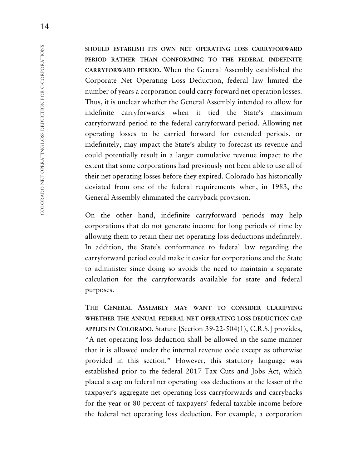**SHOULD ESTABLISH ITS OWN NET OPERATING LOSS CARRYFORWARD PERIOD RATHER THAN CONFORMING TO THE FEDERAL INDEFINITE CARRYFORWARD PERIOD.** When the General Assembly established the Corporate Net Operating Loss Deduction, federal law limited the number of years a corporation could carry forward net operation losses. Thus, it is unclear whether the General Assembly intended to allow for indefinite carryforwards when it tied the State's maximum carryforward period to the federal carryforward period. Allowing net operating losses to be carried forward for extended periods, or indefinitely, may impact the State's ability to forecast its revenue and could potentially result in a larger cumulative revenue impact to the extent that some corporations had previously not been able to use all of their net operating losses before they expired. Colorado has historically deviated from one of the federal requirements when, in 1983, the General Assembly eliminated the carryback provision.

On the other hand, indefinite carryforward periods may help corporations that do not generate income for long periods of time by allowing them to retain their net operating loss deductions indefinitely. In addition, the State's conformance to federal law regarding the carryforward period could make it easier for corporations and the State to administer since doing so avoids the need to maintain a separate calculation for the carryforwards available for state and federal purposes.

**THE GENERAL ASSEMBLY MAY WANT TO CONSIDER CLARIFYING WHETHER THE ANNUAL FEDERAL NET OPERATING LOSS DEDUCTION CAP APPLIES IN COLORADO.** Statute [Section 39-22-504(1), C.R.S.] provides, "A net operating loss deduction shall be allowed in the same manner that it is allowed under the internal revenue code except as otherwise provided in this section." However, this statutory language was established prior to the federal 2017 Tax Cuts and Jobs Act, which placed a cap on federal net operating loss deductions at the lesser of the taxpayer's aggregate net operating loss carryforwards and carrybacks for the year or 80 percent of taxpayers' federal taxable income before the federal net operating loss deduction. For example, a corporation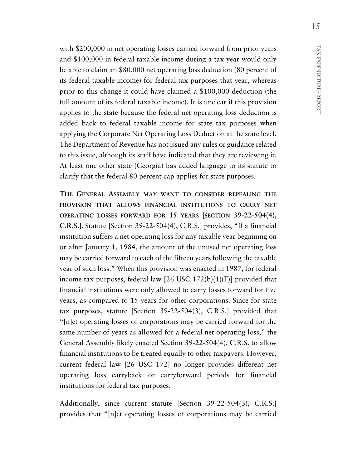with \$200,000 in net operating losses carried forward from prior years and \$100,000 in federal taxable income during a tax year would only be able to claim an \$80,000 net operating loss deduction (80 percent of its federal taxable income) for federal tax purposes that year, whereas prior to this change it could have claimed a \$100,000 deduction (the full amount of its federal taxable income). It is unclear if this provision applies to the state because the federal net operating loss deduction is added back to federal taxable income for state tax purposes when applying the Corporate Net Operating Loss Deduction at the state level. The Department of Revenue has not issued any rules or guidance related to this issue, although its staff have indicated that they are reviewing it. At least one other state (Georgia) has added language to its statute to clarify that the federal 80 percent cap applies for state purposes.

**THE GENERAL ASSEMBLY MAY WANT TO CONSIDER REPEALING THE PROVISION THAT ALLOWS FINANCIAL INSTITUTIONS TO CARRY NET OPERATING LOSSES FORWARD FOR 15 YEARS [SECTION 39-22-504(4), C.R.S.].** Statute [Section 39-22-504(4), C.R.S.] provides, "If a financial institution suffers a net operating loss for any taxable year beginning on or after January 1, 1984, the amount of the unused net operating loss may be carried forward to each of the fifteen years following the taxable year of such loss." When this provision was enacted in 1987, for federal income tax purposes, federal law  $[26 \text{ USC } 172(b)(1)(F)]$  provided that financial institutions were only allowed to carry losses forward for five years, as compared to 15 years for other corporations. Since for state tax purposes, statute [Section 39-22-504(3), C.R.S.] provided that "[n]et operating losses of corporations may be carried forward for the same number of years as allowed for a federal net operating loss," the General Assembly likely enacted Section 39-22-504(4), C.R.S. to allow financial institutions to be treated equally to other taxpayers. However, current federal law [26 USC 172] no longer provides different net operating loss carryback or carryforward periods for financial institutions for federal tax purposes.

Additionally, since current statute [Section 39-22-504(3), C.R.S.] provides that "[n]et operating losses of corporations may be carried